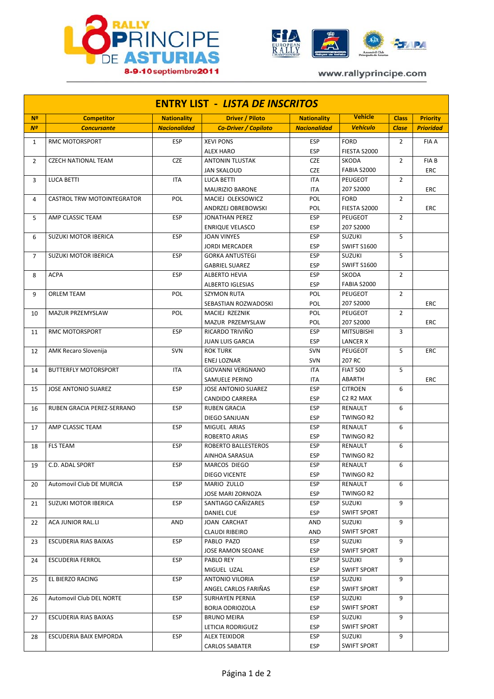



www.rallyprincipe.com

| <b>ENTRY LIST - LISTA DE INSCRITOS</b> |                                   |                     |                             |                     |                                               |                |                  |  |  |  |  |
|----------------------------------------|-----------------------------------|---------------------|-----------------------------|---------------------|-----------------------------------------------|----------------|------------------|--|--|--|--|
| N <sup>2</sup>                         | <b>Competitor</b>                 | <b>Nationality</b>  | <b>Driver / Piloto</b>      | <b>Nationality</b>  | <b>Vehicle</b>                                | <b>Class</b>   | <b>Priority</b>  |  |  |  |  |
| N <sup>o</sup>                         | <b>Concursante</b>                | <b>Nacionalidad</b> | <b>Co-Driver / Copiloto</b> | <b>Nacionalidad</b> | <b>Vehículo</b>                               | <b>Clase</b>   | <b>Prioridad</b> |  |  |  |  |
| $\mathbf{1}$                           | RMC MOTORSPORT                    | <b>ESP</b>          | <b>XEVI PONS</b>            | <b>ESP</b>          | <b>FORD</b>                                   | $\overline{2}$ | <b>FIA A</b>     |  |  |  |  |
|                                        |                                   |                     | <b>ALEX HARO</b>            | <b>ESP</b>          | FIESTA S2000                                  |                |                  |  |  |  |  |
| $\overline{2}$                         | <b>CZECH NATIONAL TEAM</b>        | <b>CZE</b>          | <b>ANTONIN TLUSTAK</b>      | <b>CZE</b>          | SKODA                                         | $\overline{2}$ | <b>FIAB</b>      |  |  |  |  |
|                                        |                                   |                     | <b>JAN SKALOUD</b>          | <b>CZE</b>          | <b>FABIA S2000</b>                            |                | <b>ERC</b>       |  |  |  |  |
| 3                                      | <b>LUCA BETTI</b>                 | <b>ITA</b>          | <b>LUCA BETTI</b>           | <b>ITA</b>          | PEUGEOT                                       | $\overline{2}$ |                  |  |  |  |  |
|                                        |                                   |                     | <b>MAURIZIO BARONE</b>      | <b>ITA</b>          | 207 S2000                                     |                | ERC              |  |  |  |  |
| 4                                      | <b>CASTROL TRW MOTOINTEGRATOR</b> | POL                 | MACIEJ OLEKSOWICZ           | POL                 | <b>FORD</b>                                   | $\overline{2}$ |                  |  |  |  |  |
|                                        |                                   |                     | ANDRZEJ OBREBOWSKI          | <b>POL</b>          | FIESTA S2000                                  |                | ERC              |  |  |  |  |
| 5                                      | AMP CLASSIC TEAM                  | <b>ESP</b>          | <b>JONATHAN PEREZ</b>       | <b>ESP</b>          | PEUGEOT                                       | $\overline{2}$ |                  |  |  |  |  |
|                                        |                                   |                     | <b>ENRIQUE VELASCO</b>      | <b>ESP</b>          | 207 S2000                                     |                |                  |  |  |  |  |
| 6                                      | <b>SUZUKI MOTOR IBERICA</b>       | ESP                 | <b>JOAN VINYES</b>          | <b>ESP</b>          | <b>SUZUKI</b>                                 | 5              |                  |  |  |  |  |
|                                        |                                   |                     | <b>JORDI MERCADER</b>       | <b>ESP</b>          | <b>SWIFT S1600</b>                            |                |                  |  |  |  |  |
| $\overline{7}$                         | <b>SUZUKI MOTOR IBERICA</b>       | ESP                 | <b>GORKA ANTUSTEGI</b>      | <b>ESP</b>          | <b>SUZUKI</b>                                 | 5              |                  |  |  |  |  |
|                                        |                                   |                     | <b>GABRIEL SUAREZ</b>       | <b>ESP</b>          | <b>SWIFT S1600</b>                            |                |                  |  |  |  |  |
| 8                                      | <b>ACPA</b>                       | <b>ESP</b>          | <b>ALBERTO HEVIA</b>        | <b>ESP</b>          | <b>SKODA</b>                                  | $\overline{2}$ |                  |  |  |  |  |
|                                        |                                   |                     | <b>ALBERTO IGLESIAS</b>     | <b>ESP</b>          | <b>FABIA S2000</b>                            |                |                  |  |  |  |  |
| 9                                      | <b>ORLEM TEAM</b>                 | POL                 | <b>SZYMON RUTA</b>          | POL                 | PEUGEOT                                       | $\overline{2}$ |                  |  |  |  |  |
|                                        |                                   |                     | SEBASTIAN ROZWADOSKI        | POL                 | 207 S2000                                     |                | <b>ERC</b>       |  |  |  |  |
| 10                                     | MAZUR PRZEMYSLAW                  | POL                 | MACIEJ RZEZNIK              | <b>POL</b>          | PEUGEOT                                       | $\overline{2}$ |                  |  |  |  |  |
|                                        |                                   |                     | MAZUR PRZEMYSLAW            | POL                 | 207 S2000                                     |                | ERC              |  |  |  |  |
| 11                                     | RMC MOTORSPORT                    | <b>ESP</b>          | RICARDO TRIVIÑO             | <b>ESP</b>          | <b>MITSUBISHI</b>                             | 3              |                  |  |  |  |  |
|                                        |                                   |                     | <b>JUAN LUIS GARCIA</b>     | <b>ESP</b>          | <b>LANCER X</b>                               |                |                  |  |  |  |  |
| 12                                     | AMK Recaro Slovenija              | <b>SVN</b>          | <b>ROK TURK</b>             | <b>SVN</b>          | PEUGEOT                                       | 5              | ERC              |  |  |  |  |
|                                        |                                   |                     | <b>ENEJ LOZNAR</b>          | <b>SVN</b>          | 207 RC                                        |                |                  |  |  |  |  |
| 14                                     | <b>BUTTERFLY MOTORSPORT</b>       | <b>ITA</b>          | <b>GIOVANNI VERGNANO</b>    | <b>ITA</b>          | <b>FIAT 500</b>                               | 5              |                  |  |  |  |  |
|                                        |                                   |                     | SAMUELE PERINO              | <b>ITA</b>          | ABARTH                                        |                | ERC              |  |  |  |  |
| 15                                     | <b>JOSE ANTONIO SUAREZ</b>        | <b>ESP</b>          | <b>JOSE ANTONIO SUAREZ</b>  | <b>ESP</b>          | <b>CITROEN</b>                                | 6              |                  |  |  |  |  |
|                                        |                                   |                     | <b>CANDIDO CARRERA</b>      | <b>ESP</b>          | C <sub>2</sub> R <sub>2</sub> M <sub>AX</sub> |                |                  |  |  |  |  |
| 16                                     | RUBEN GRACIA PEREZ-SERRANO        | <b>ESP</b>          | <b>RUBEN GRACIA</b>         | <b>ESP</b>          | RENAULT                                       | 6              |                  |  |  |  |  |
|                                        |                                   |                     | DIEGO SANJUAN               | <b>ESP</b>          | TWINGO R2                                     |                |                  |  |  |  |  |
| 17                                     | AMP CLASSIC TEAM                  | <b>ESP</b>          | MIGUEL ARIAS                | <b>ESP</b>          | RENAULT                                       | 6              |                  |  |  |  |  |
|                                        |                                   |                     | <b>ROBERTO ARIAS</b>        | <b>ESP</b>          | TWINGO R2                                     |                |                  |  |  |  |  |
| 18                                     | <b>FLS TEAM</b>                   | <b>ESP</b>          | ROBERTO BALLESTEROS         | <b>ESP</b>          | RENAULT                                       | 6              |                  |  |  |  |  |
|                                        |                                   |                     | AINHOA SARASUA              | <b>ESP</b>          | <b>TWINGO R2</b>                              |                |                  |  |  |  |  |
| 19                                     | C.D. ADAL SPORT                   | <b>ESP</b>          | MARCOS DIEGO                | <b>ESP</b>          | RENAULT                                       | 6              |                  |  |  |  |  |
|                                        |                                   |                     | DIEGO VICENTE               | <b>ESP</b>          | TWINGO R2                                     |                |                  |  |  |  |  |
| 20                                     | Automovil Club DE MURCIA          | ESP                 | MARIO ZULLO                 | <b>ESP</b>          | RENAULT                                       | 6              |                  |  |  |  |  |
|                                        |                                   |                     | JOSE MARI ZORNOZA           | <b>ESP</b>          | TWINGO R2                                     |                |                  |  |  |  |  |
| 21                                     | SUZUKI MOTOR IBERICA              | <b>ESP</b>          | SANTIAGO CAÑIZARES          | ESP                 | SUZUKI                                        | 9              |                  |  |  |  |  |
|                                        |                                   |                     | DANIEL CUE                  | <b>ESP</b>          | <b>SWIFT SPORT</b>                            |                |                  |  |  |  |  |
| 22                                     | ACA JUNIOR RAL.LI                 | AND                 | JOAN CARCHAT                | AND                 | SUZUKI                                        | 9              |                  |  |  |  |  |
|                                        |                                   |                     | <b>CLAUDI RIBEIRO</b>       | AND                 | <b>SWIFT SPORT</b>                            |                |                  |  |  |  |  |
| 23                                     | ESCUDERIA RIAS BAIXAS             | <b>ESP</b>          | PABLO PAZO                  | <b>ESP</b>          | SUZUKI                                        | 9              |                  |  |  |  |  |
|                                        |                                   |                     | JOSE RAMON SEOANE           | <b>ESP</b>          | <b>SWIFT SPORT</b>                            |                |                  |  |  |  |  |
| 24                                     | <b>ESCUDERIA FERROL</b>           | ESP                 | PABLO REY                   | <b>ESP</b>          | SUZUKI                                        | 9              |                  |  |  |  |  |
|                                        |                                   |                     | MIGUEL UZAL                 | <b>ESP</b>          | <b>SWIFT SPORT</b>                            |                |                  |  |  |  |  |
| 25                                     | EL BIERZO RACING                  | ESP                 | ANTONIO VILORIA             | <b>ESP</b>          | SUZUKI                                        | 9              |                  |  |  |  |  |
|                                        |                                   |                     | ANGEL CARLOS FARIÑAS        | ESP                 | <b>SWIFT SPORT</b>                            |                |                  |  |  |  |  |
| 26                                     | Automovil Club DEL NORTE          | <b>ESP</b>          | SURHAYEN PERNIA             | ESP                 | SUZUKI                                        | 9              |                  |  |  |  |  |
|                                        |                                   |                     | BORJA ODRIOZOLA             | ESP                 | <b>SWIFT SPORT</b>                            |                |                  |  |  |  |  |
| 27                                     | ESCUDERIA RIAS BAIXAS             | <b>ESP</b>          | <b>BRUNO MEIRA</b>          | <b>ESP</b>          | SUZUKI                                        | 9              |                  |  |  |  |  |
|                                        |                                   |                     | LETICIA RODRIGUEZ           | <b>ESP</b>          | <b>SWIFT SPORT</b>                            |                |                  |  |  |  |  |
| 28                                     | ESCUDERIA BAIX EMPORDA            | ESP                 | ALEX TEIXIDOR               | <b>ESP</b>          | SUZUKI                                        | 9              |                  |  |  |  |  |
|                                        |                                   |                     | <b>CARLOS SABATER</b>       | ESP                 | <b>SWIFT SPORT</b>                            |                |                  |  |  |  |  |